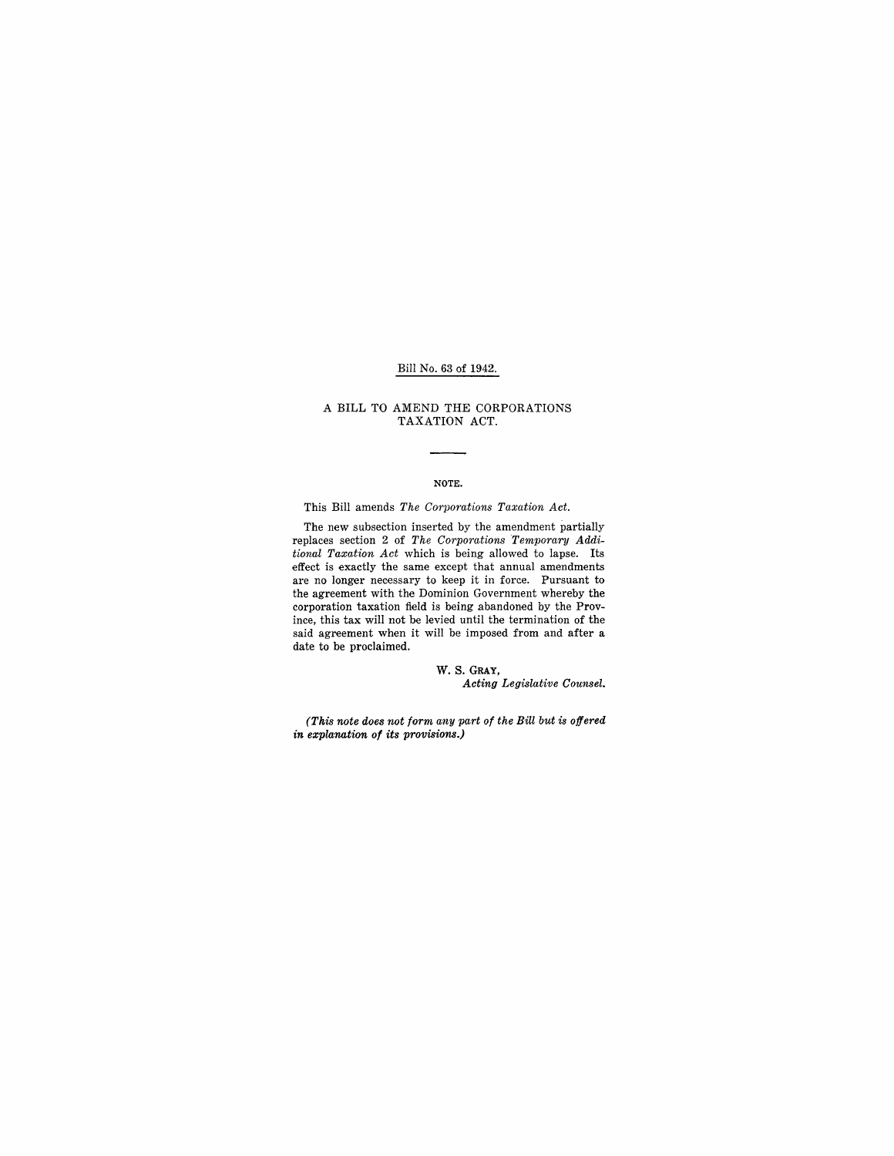## Bill No. 63 of 1942.

#### A BILL TO AMEND THE CORPORATIONS TAXATION ACT.

### NOTE.

This Bill amends *The Corporations Taxation Act.* 

The new subsection inserted by the amendment partially replaces section 2 of *The Corporations Temporary Additional Taxation Act* which is being allowed to lapse. Its effect is exactly the same except that annual amendments are no longer necessary to keep it in force. Pursuant to the agreement with the Dominion Government whereby the corporation taxation field is being abandoned by the Province, this tax will not be levied until the termination of the said agreement when it will be imposed from and after a date to be proclaimed.

> W. S. GRAY, *Acting Legislative Counsel.*

*(This note does not form any part of the Bill but is offered in explanation of its provisions.)*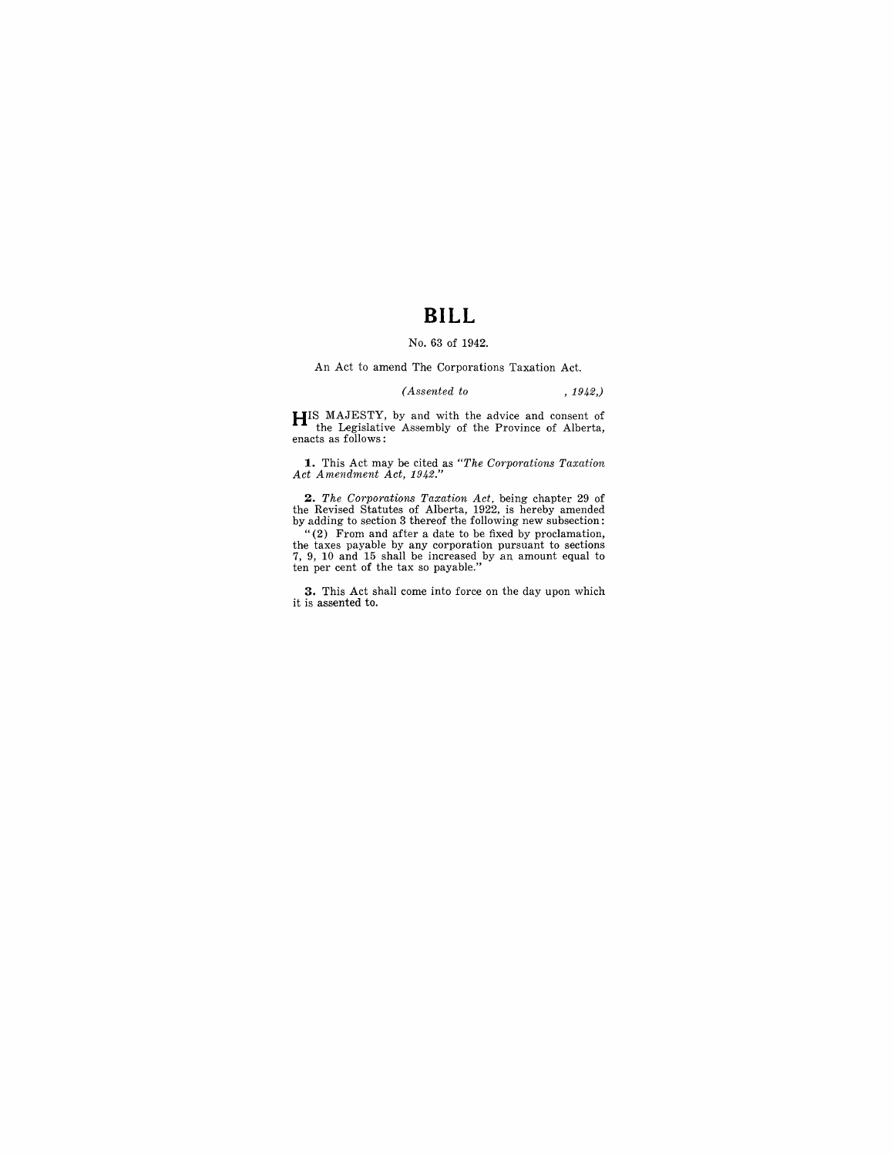## **BILL**

### No. 63 of 1942.

An Act to amend The Corporations Taxation Act.

*(Assented to* , 1942,)

**HIS** MAJESTY, by and with the advice and consent of the Legislative Assembly of the Province of Alberta, enacts as follows:

**1.** This Act may be cited as *"The Corpomtions Taxation Act Amendment Act, 1942."* 

2. The Corporations Taxation Act, being chapter 29 of the Revised Statutes of Alberta, 1922, is hereby amended by adding to section 3 thereof the following new subsection:

"(2) From and after a date to be fixed by proclamation, the taxes payable by any corporation pursuant to sections 7, 9, 10 and 15 shall be increased by an amount equal to ten per cent of the tax so payable."

**3.** This Act shall come into force on the day upon which it is assented to.